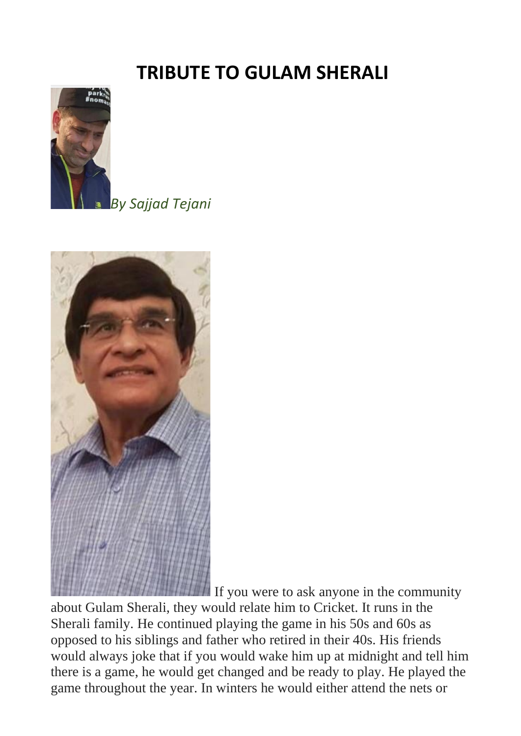## **TRIBUTE TO GULAM SHERALI**



*By Sajjad Tejani*



If you were to ask anyone in the community

about Gulam Sherali, they would relate him to Cricket. It runs in the Sherali family. He continued playing the game in his 50s and 60s as opposed to his siblings and father who retired in their 40s. His friends would always joke that if you would wake him up at midnight and tell him there is a game, he would get changed and be ready to play. He played the game throughout the year. In winters he would either attend the nets or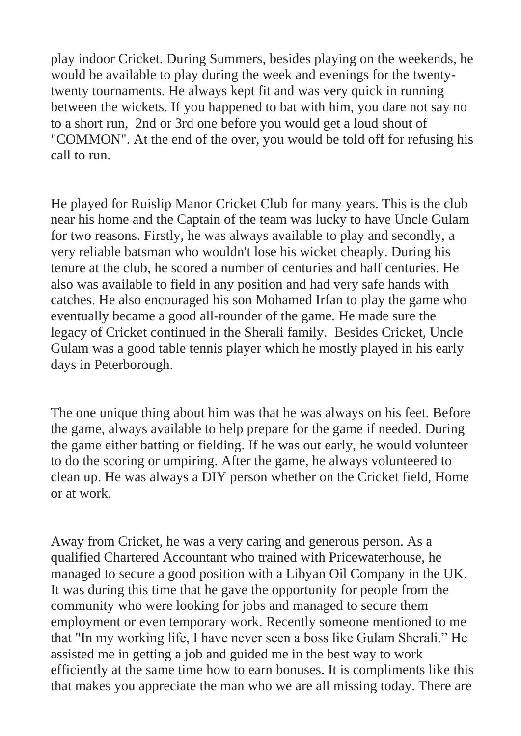play indoor Cricket. During Summers, besides playing on the weekends, he would be available to play during the week and evenings for the twentytwenty tournaments. He always kept fit and was very quick in running between the wickets. If you happened to bat with him, you dare not say no to a short run, 2nd or 3rd one before you would get a loud shout of "COMMON". At the end of the over, you would be told off for refusing his call to run.

He played for Ruislip Manor Cricket Club for many years. This is the club near his home and the Captain of the team was lucky to have Uncle Gulam for two reasons. Firstly, he was always available to play and secondly, a very reliable batsman who wouldn't lose his wicket cheaply. During his tenure at the club, he scored a number of centuries and half centuries. He also was available to field in any position and had very safe hands with catches. He also encouraged his son Mohamed Irfan to play the game who eventually became a good all-rounder of the game. He made sure the legacy of Cricket continued in the Sherali family. Besides Cricket, Uncle Gulam was a good table tennis player which he mostly played in his early days in Peterborough.

The one unique thing about him was that he was always on his feet. Before the game, always available to help prepare for the game if needed. During the game either batting or fielding. If he was out early, he would volunteer to do the scoring or umpiring. After the game, he always volunteered to clean up. He was always a DIY person whether on the Cricket field, Home or at work.

Away from Cricket, he was a very caring and generous person. As a qualified Chartered Accountant who trained with Pricewaterhouse, he managed to secure a good position with a Libyan Oil Company in the UK. It was during this time that he gave the opportunity for people from the community who were looking for jobs and managed to secure them employment or even temporary work. Recently someone mentioned to me that "In my working life, I have never seen a boss like Gulam Sherali." He assisted me in getting a job and guided me in the best way to work efficiently at the same time how to earn bonuses. It is compliments like this that makes you appreciate the man who we are all missing today. There are